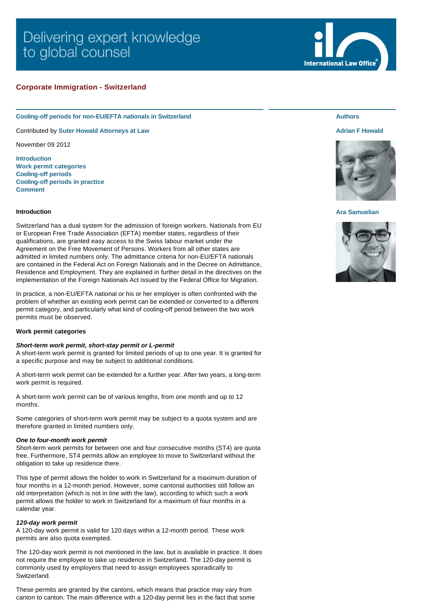# Delivering expert knowledge to global counsel

# **Corporate Immigration - Switzerland**

#### **Cooling-off periods for non-EU/EFTA nationals in Switzerland**

Contributed by **[Suter Howald Attorneys at Law](http://www.internationallawoffice.com/gesr.ashx?l=7HD7GCZ)**

November 09 2012

**[Introduction](#page-0-0) [Work permit categories](#page-0-1) [Cooling-off periods](#page-1-0) [Cooling-off periods in practice](#page-1-1) [Comment](#page-2-0)**

#### <span id="page-0-0"></span>**Introduction**

Switzerland has a dual system for the admission of foreign workers. Nationals from EU or European Free Trade Association (EFTA) member states, regardless of their qualifications, are granted easy access to the Swiss labour market under the Agreement on the Free Movement of Persons. Workers from all other states are admitted in limited numbers only. The admittance criteria for non-EU/EFTA nationals are contained in the Federal Act on Foreign Nationals and in the Decree on Admittance, Residence and Employment. They are explained in further detail in the directives on the implementation of the Foreign Nationals Act issued by the Federal Office for Migration.

In practice, a non-EU/EFTA national or his or her employer is often confronted with the problem of whether an existing work permit can be extended or converted to a different permit category, and particularly what kind of cooling-off period between the two work permits must be observed.

## <span id="page-0-1"></span>**Work permit categories**

#### *Short-term work permit, short-stay permit or L-permit*

A short-term work permit is granted for limited periods of up to one year. It is granted for a specific purpose and may be subject to additional conditions.

A short-term work permit can be extended for a further year. After two years, a long-term work permit is required.

A short-term work permit can be of various lengths, from one month and up to 12 months.

Some categories of short-term work permit may be subject to a quota system and are therefore granted in limited numbers only.

#### *One to four-month work permit*

Short-term work permits for between one and four consecutive months (ST4) are quota free. Furthermore, ST4 permits allow an employee to move to Switzerland without the obligation to take up residence there.

This type of permit allows the holder to work in Switzerland for a maximum duration of four months in a 12-month period. However, some cantonal authorities still follow an old interpretation (which is not in line with the law), according to which such a work permit allows the holder to work in Switzerland for a maximum of four months in a calendar year.

#### *120-day work permit*

A 120-day work permit is valid for 120 days within a 12-month period. These work permits are also quota exempted.

The 120-day work permit is not mentioned in the law, but is available in practice. It does not require the employee to take up residence in Switzerland. The 120-day permit is commonly used by employers that need to assign employees sporadically to Switzerland.

These permits are granted by the cantons, which means that practice may vary from canton to canton. The main difference with a 120-day permit lies in the fact that some

## **Authors**

#### **[Adrian F Howald](http://www.internationallawoffice.com/gesr.ashx?l=7HD7GEU)**



## **[Ara Samuelian](http://www.internationallawoffice.com/gesr.ashx?l=7HD7GF0)**



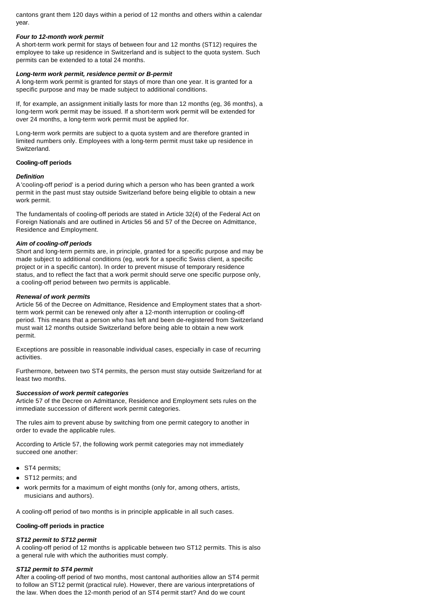cantons grant them 120 days within a period of 12 months and others within a calendar year.

## *Four to 12-month work permit*

A short-term work permit for stays of between four and 12 months (ST12) requires the employee to take up residence in Switzerland and is subject to the quota system. Such permits can be extended to a total 24 months.

# *Long-term work permit, residence permit or B-permit*

A long-term work permit is granted for stays of more than one year. It is granted for a specific purpose and may be made subject to additional conditions.

If, for example, an assignment initially lasts for more than 12 months (eg, 36 months), a long-term work permit may be issued. If a short-term work permit will be extended for over 24 months, a long-term work permit must be applied for.

Long-term work permits are subject to a quota system and are therefore granted in limited numbers only. Employees with a long-term permit must take up residence in Switzerland.

#### <span id="page-1-0"></span>**Cooling-off periods**

#### *Definition*

A 'cooling-off period' is a period during which a person who has been granted a work permit in the past must stay outside Switzerland before being eligible to obtain a new work permit.

The fundamentals of cooling-off periods are stated in Article 32(4) of the Federal Act on Foreign Nationals and are outlined in Articles 56 and 57 of the Decree on Admittance, Residence and Employment.

### *Aim of cooling-off periods*

Short and long-term permits are, in principle, granted for a specific purpose and may be made subject to additional conditions (eg, work for a specific Swiss client, a specific project or in a specific canton). In order to prevent misuse of temporary residence status, and to reflect the fact that a work permit should serve one specific purpose only, a cooling-off period between two permits is applicable.

#### *Renewal of work permits*

Article 56 of the Decree on Admittance, Residence and Employment states that a shortterm work permit can be renewed only after a 12-month interruption or cooling-off period. This means that a person who has left and been de-registered from Switzerland must wait 12 months outside Switzerland before being able to obtain a new work permit.

Exceptions are possible in reasonable individual cases, especially in case of recurring activities.

Furthermore, between two ST4 permits, the person must stay outside Switzerland for at least two months.

## *Succession of work permit categories*

Article 57 of the Decree on Admittance, Residence and Employment sets rules on the immediate succession of different work permit categories.

The rules aim to prevent abuse by switching from one permit category to another in order to evade the applicable rules.

According to Article 57, the following work permit categories may not immediately succeed one another:

- ST4 permits;
- ST12 permits; and
- work permits for a maximum of eight months (only for, among others, artists, musicians and authors).

A cooling-off period of two months is in principle applicable in all such cases.

## <span id="page-1-1"></span>**Cooling-off periods in practice**

## *ST12 permit to ST12 permit*

A cooling-off period of 12 months is applicable between two ST12 permits. This is also a general rule with which the authorities must comply.

#### *ST12 permit to ST4 permit*

After a cooling-off period of two months, most cantonal authorities allow an ST4 permit to follow an ST12 permit (practical rule). However, there are various interpretations of the law. When does the 12-month period of an ST4 permit start? And do we count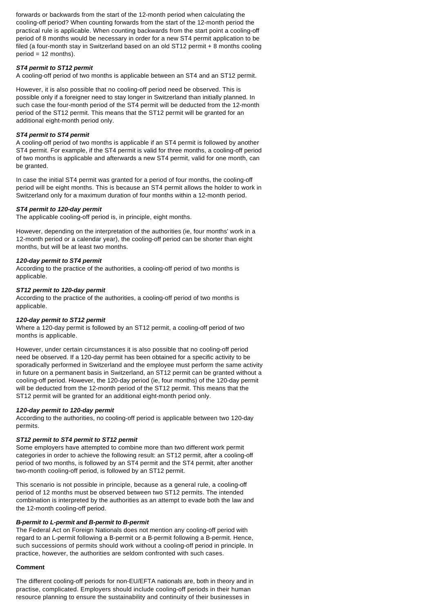forwards or backwards from the start of the 12-month period when calculating the cooling-off period? When counting forwards from the start of the 12-month period the practical rule is applicable. When counting backwards from the start point a cooling-off period of 8 months would be necessary in order for a new ST4 permit application to be filed (a four-month stay in Switzerland based on an old ST12 permit + 8 months cooling period = 12 months).

## *ST4 permit to ST12 permit*

A cooling-off period of two months is applicable between an ST4 and an ST12 permit.

However, it is also possible that no cooling-off period need be observed. This is possible only if a foreigner need to stay longer in Switzerland than initially planned. In such case the four-month period of the ST4 permit will be deducted from the 12-month period of the ST12 permit. This means that the ST12 permit will be granted for an additional eight-month period only.

# *ST4 permit to ST4 permit*

A cooling-off period of two months is applicable if an ST4 permit is followed by another ST4 permit. For example, if the ST4 permit is valid for three months, a cooling-off period of two months is applicable and afterwards a new ST4 permit, valid for one month, can be granted.

In case the initial ST4 permit was granted for a period of four months, the cooling-off period will be eight months. This is because an ST4 permit allows the holder to work in Switzerland only for a maximum duration of four months within a 12-month period.

# *ST4 permit to 120-day permit*

The applicable cooling-off period is, in principle, eight months.

However, depending on the interpretation of the authorities (ie, four months' work in a 12-month period or a calendar year), the cooling-off period can be shorter than eight months, but will be at least two months.

# *120-day permit to ST4 permit*

According to the practice of the authorities, a cooling-off period of two months is applicable.

# *ST12 permit to 120-day permit*

According to the practice of the authorities, a cooling-off period of two months is applicable.

# *120-day permit to ST12 permit*

Where a 120-day permit is followed by an ST12 permit, a cooling-off period of two months is applicable.

However, under certain circumstances it is also possible that no cooling-off period need be observed. If a 120-day permit has been obtained for a specific activity to be sporadically performed in Switzerland and the employee must perform the same activity in future on a permanent basis in Switzerland, an ST12 permit can be granted without a cooling-off period. However, the 120-day period (ie, four months) of the 120-day permit will be deducted from the 12-month period of the ST12 permit. This means that the ST12 permit will be granted for an additional eight-month period only.

# *120-day permit to 120-day permit*

According to the authorities, no cooling-off period is applicable between two 120-day permits.

# *ST12 permit to ST4 permit to ST12 permit*

Some employers have attempted to combine more than two different work permit categories in order to achieve the following result: an ST12 permit, after a cooling-off period of two months, is followed by an ST4 permit and the ST4 permit, after another two-month cooling-off period, is followed by an ST12 permit.

This scenario is not possible in principle, because as a general rule, a cooling-off period of 12 months must be observed between two ST12 permits. The intended combination is interpreted by the authorities as an attempt to evade both the law and the 12-month cooling-off period.

# *B-permit to L-permit and B-permit to B-permit*

The Federal Act on Foreign Nationals does not mention any cooling-off period with regard to an L-permit following a B-permit or a B-permit following a B-permit. Hence, such successions of permits should work without a cooling-off period in principle. In practice, however, the authorities are seldom confronted with such cases.

# <span id="page-2-0"></span>**Comment**

The different cooling-off periods for non-EU/EFTA nationals are, both in theory and in practise, complicated. Employers should include cooling-off periods in their human resource planning to ensure the sustainability and continuity of their businesses in